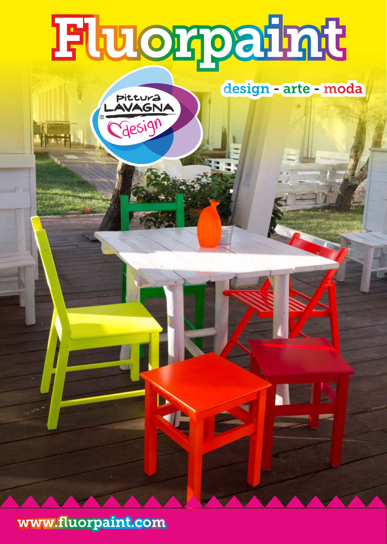## **Fluorpaint**

Pittura<br>AVAGNA

Gesign

Þ



www.fluorpaint.com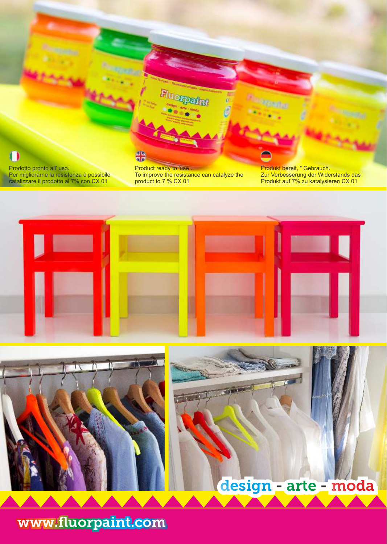

Prodotto pronto all' uso. Per migliorarne la resistenza è possibile catalizzare il prodotto al 7% con CX 01

Product ready to 'use . To improve the resistance can catalyze the product to 7 % CX 01

4B<br>4B

Produkt bereit, " Gebrauch. Zur Verbesserung der Widerstands das Produkt auf 7% zu katalysieren CX 01





## design - arte - moda

www.fluorpaint.com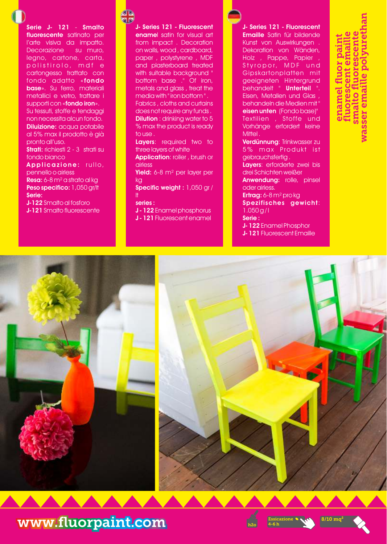Serie J- 121 - Smalto fluorescente satinato per l'arte visiva da impatto. Decorazione su muro, legno, cartone, carta, polistirolo, mdf e cartongesso trattato con fondo adatto «fondo base». Su ferro, materiali metallici e vetro, trattare i supporti con «fondo iron». Su tessuti, stoffe e tendaggi non necessita alcun fondo. **Diluizione:** acqua potabile al 5% max il prodotto è già pronto all'uso. Strati: richiesti 2 - 3 strati su fondo bianco Applicazione: rullo, pennello o airless

Resa: 6-8 m² a strato al kg Peso specifico: 1,050 gr/lt Serie:

J-122 Smalto al fosforo J-121 Smalto fluorescente **SB**<br>BB

J- Series 121 - Fluorescent enamel satin for visual art from impact . Decoration on walls, wood , cardboard, paper , polystyrene , MDF and plasterboard treated with suitable background bottom base ." Of iron, metals and glass , treat the media with " iron bottom " . Fabrics , cloths and curtains does not require any funds . **Dilution**: drinking water to 5 % max the product is ready to use . Layers: required two to three layers of white Application: roller, brush or airless Yield: 6-8 m<sup>2</sup> per layer per kg Specific weight : 1,050 gr / lt series : J - 122 Enamel phosphorus J - 121 Fluorescent enamel

J- Series 121 - Fluorescent Emaille Satin für bildende Kunst von Auswirkungen . Dekoration von Wänden, Holz , Pappe, Papier ,

Styropor, MDF und Gips kartonplatten mit geeigneten Hintergrund behandelt " Unterteil ". Eisen, Metallen und Glas , behandeln die Medien mit " eisen unten (Fondo base)" Textilien , Stoffe und Vorhänge erfordert keine Mittel.

Verdünnung: Trinkwasser zu 5% max Produkt ist gebrauchsfertig .

Layers: erforderte zwei bis drei Schichten weißer

Anwendung: rolle, pinsel oder airless.

Ertrag: 6-8 m² pro kg Spezifisches gewicht:  $1.050$  g/l

Serie :

- J- 122 Enamel Phosphor
- J- 121 Fluorescent Emaille





www.fluorpaint.com

Essicazione **8/10 mq<sup>2</sup>** h2o 4-6 h